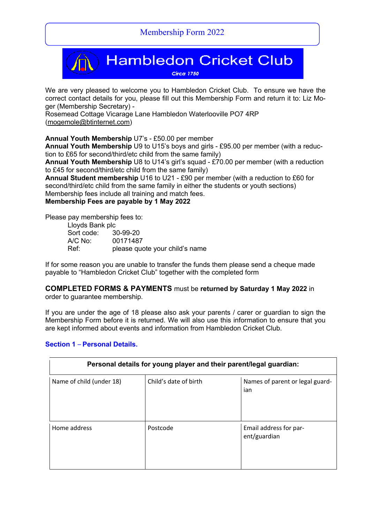

We are very pleased to welcome you to Hambledon Cricket Club. To ensure we have the correct contact details for you, please fill out this Membership Form and return it to: Liz Moger (Membership Secretary) -

Rosemead Cottage Vicarage Lane Hambledon Waterlooville PO7 4RP (mogemole@btinternet.com)

**Annual Youth Membership** U7's - £50.00 per member

**Annual Youth Membership** U9 to U15's boys and girls - £95.00 per member (with a reduction to £65 for second/third/etc child from the same family)

**Annual Youth Membership** U8 to U14's girl's squad - £70.00 per member (with a reduction to £45 for second/third/etc child from the same family)

**Annual Student membership** U16 to U21 - £90 per member (with a reduction to £60 for second/third/etc child from the same family in either the students or youth sections) Membership fees include all training and match fees.

**Membership Fees are payable by 1 May 2022**

Please pay membership fees to:

| Lloyds Bank plc     |                                |
|---------------------|--------------------------------|
| Sort code: 30-99-20 |                                |
| A/C No:             | 00171487                       |
| Ref:                | please quote your child's name |

If for some reason you are unable to transfer the funds them please send a cheque made payable to "Hambledon Cricket Club" together with the completed form

#### **COMPLETED FORMS & PAYMENTS** must be **returned by Saturday 1 May 2022** in order to guarantee membership.

If you are under the age of 18 please also ask your parents / carer or guardian to sign the Membership Form before it is returned. We will also use this information to ensure that you are kept informed about events and information from Hambledon Cricket Club.

# **Section 1** – **Personal Details.**

| Personal details for young player and their parent/legal guardian: |                       |                                        |
|--------------------------------------------------------------------|-----------------------|----------------------------------------|
| Name of child (under 18)                                           | Child's date of birth | Names of parent or legal guard-<br>ian |
| Home address                                                       | Postcode              | Email address for par-<br>ent/guardian |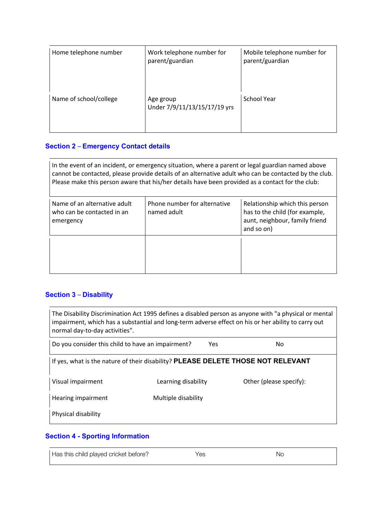| Home telephone number  | Work telephone number for<br>parent/guardian | Mobile telephone number for<br>parent/guardian |
|------------------------|----------------------------------------------|------------------------------------------------|
| Name of school/college | Age group<br>Under 7/9/11/13/15/17/19 yrs    | School Year                                    |

## **Section 2** – **Emergency Contact details**

In the event of an incident, or emergency situation, where a parent or legal guardian named above cannot be contacted, please provide details of an alternative adult who can be contacted by the club. Please make this person aware that his/her details have been provided as a contact for the club:

| Name of an alternative adult<br>who can be contacted in an<br>emergency | Phone number for alternative<br>named adult | Relationship which this person<br>has to the child (for example,<br>aunt, neighbour, family friend<br>and so on) |
|-------------------------------------------------------------------------|---------------------------------------------|------------------------------------------------------------------------------------------------------------------|
|                                                                         |                                             |                                                                                                                  |

# **Section 3** – **Disability**

| The Disability Discrimination Act 1995 defines a disabled person as anyone with "a physical or mental<br>impairment, which has a substantial and long-term adverse effect on his or her ability to carry out<br>normal day-to-day activities". |                     |     |                         |
|------------------------------------------------------------------------------------------------------------------------------------------------------------------------------------------------------------------------------------------------|---------------------|-----|-------------------------|
| Do you consider this child to have an impairment?                                                                                                                                                                                              |                     | Yes | No.                     |
| If yes, what is the nature of their disability? PLEASE DELETE THOSE NOT RELEVANT                                                                                                                                                               |                     |     |                         |
| Visual impairment                                                                                                                                                                                                                              | Learning disability |     | Other (please specify): |
| Hearing impairment                                                                                                                                                                                                                             | Multiple disability |     |                         |
| Physical disability                                                                                                                                                                                                                            |                     |     |                         |

## **Section 4 - Sporting Information**

| Has this child played cricket before? | Yes | Nο |
|---------------------------------------|-----|----|
|                                       |     |    |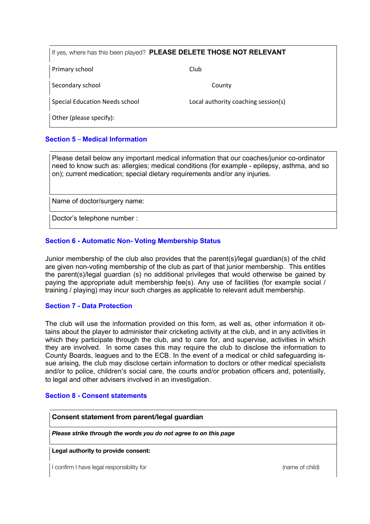| If yes, where has this been played? PLEASE DELETE THOSE NOT RELEVANT |                                     |  |
|----------------------------------------------------------------------|-------------------------------------|--|
| Primary school                                                       | Club                                |  |
| Secondary school                                                     | County                              |  |
| <b>Special Education Needs school</b>                                | Local authority coaching session(s) |  |
| Other (please specify):                                              |                                     |  |

## **Section 5** – **Medical Information**

Please detail below any important medical information that our coaches/junior co-ordinator need to know such as: allergies; medical conditions (for example - epilepsy, asthma, and so on); current medication; special dietary requirements and/or any injuries.

Name of doctor/surgery name:

Doctor's telephone number :

### **Section 6 - Automatic Non- Voting Membership Status**

Junior membership of the club also provides that the parent(s)/legal guardian(s) of the child are given non-voting membership of the club as part of that junior membership. This entitles the parent(s)/legal guardian (s) no additional privileges that would otherwise be gained by paying the appropriate adult membership fee(s). Any use of facilities (for example social / training / playing) may incur such charges as applicable to relevant adult membership.

### **Section 7 - Data Protection**

The club will use the information provided on this form, as well as, other information it obtains about the player to administer their cricketing activity at the club, and in any activities in which they participate through the club, and to care for, and supervise, activities in which they are involved. In some cases this may require the club to disclose the information to County Boards, leagues and to the ECB. In the event of a medical or child safeguarding issue arising, the club may disclose certain information to doctors or other medical specialists and/or to police, children's social care, the courts and/or probation officers and, potentially, to legal and other advisers involved in an investigation.

### **Section 8 - Consent statements**

**Consent statement from parent/legal guardian**

*Please strike through the words you do not agree to on this page*

**Legal authority to provide consent:**

I confirm I have legal responsibility for (name of child) and the confirmity of child) and  $\sim$  (name of child)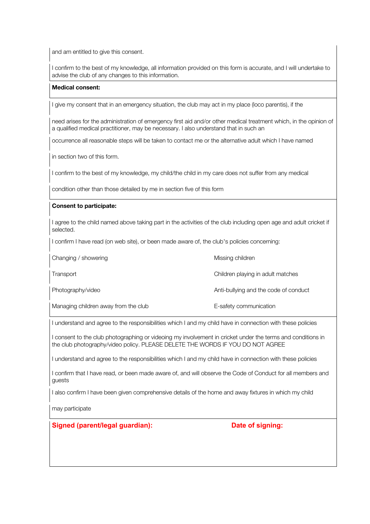and am entitled to give this consent.

I confirm to the best of my knowledge, all information provided on this form is accurate, and I will undertake to advise the club of any changes to this information.

#### **Medical consent:**

I give my consent that in an emergency situation, the club may act in my place (loco parentis), if the

need arises for the administration of emergency first aid and/or other medical treatment which, in the opinion of a qualified medical practitioner, may be necessary. I also understand that in such an

occurrence all reasonable steps will be taken to contact me or the alternative adult which I have named

in section two of this form.

I confirm to the best of my knowledge, my child/the child in my care does not suffer from any medical

condition other than those detailed by me in section five of this form

#### **Consent to participate:**

I agree to the child named above taking part in the activities of the club including open age and adult cricket if selected.

I confirm I have read (on web site), or been made aware of, the club's policies concerning:

| Changing / showering                 | Missing children                      |
|--------------------------------------|---------------------------------------|
| Transport                            | Children playing in adult matches     |
| Photography/video                    | Anti-bullying and the code of conduct |
| Managing children away from the club | E-safety communication                |

I understand and agree to the responsibilities which I and my child have in connection with these policies

I consent to the club photographing or videoing my involvement in cricket under the terms and conditions in the club photography/video policy. PLEASE DELETE THE WORDS IF YOU DO NOT AGREE

I understand and agree to the responsibilities which I and my child have in connection with these policies

I confirm that I have read, or been made aware of, and will observe the Code of Conduct for all members and guests

I also confirm I have been given comprehensive details of the home and away fixtures in which my child

may participate

## **Signed** (parent/legal quardian): Date of signing: